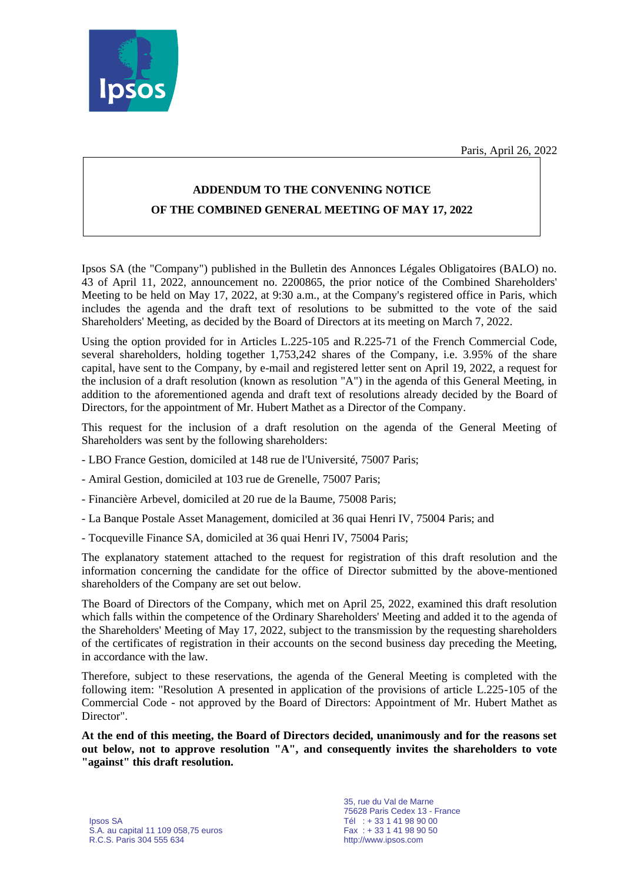Paris, April 26, 2022



# **ADDENDUM TO THE CONVENING NOTICE OF THE COMBINED GENERAL MEETING OF MAY 17, 2022**

Ipsos SA (the "Company") published in the Bulletin des Annonces Légales Obligatoires (BALO) no. 43 of April 11, 2022, announcement no. 2200865, the prior notice of the Combined Shareholders' Meeting to be held on May 17, 2022, at 9:30 a.m., at the Company's registered office in Paris, which includes the agenda and the draft text of resolutions to be submitted to the vote of the said Shareholders' Meeting, as decided by the Board of Directors at its meeting on March 7, 2022.

Using the option provided for in Articles L.225-105 and R.225-71 of the French Commercial Code, several shareholders, holding together 1,753,242 shares of the Company, i.e. 3.95% of the share capital, have sent to the Company, by e-mail and registered letter sent on April 19, 2022, a request for the inclusion of a draft resolution (known as resolution "A") in the agenda of this General Meeting, in addition to the aforementioned agenda and draft text of resolutions already decided by the Board of Directors, for the appointment of Mr. Hubert Mathet as a Director of the Company.

This request for the inclusion of a draft resolution on the agenda of the General Meeting of Shareholders was sent by the following shareholders:

- LBO France Gestion, domiciled at 148 rue de l'Université, 75007 Paris;
- Amiral Gestion, domiciled at 103 rue de Grenelle, 75007 Paris;
- Financière Arbevel, domiciled at 20 rue de la Baume, 75008 Paris;
- La Banque Postale Asset Management, domiciled at 36 quai Henri IV, 75004 Paris; and
- Tocqueville Finance SA, domiciled at 36 quai Henri IV, 75004 Paris;

The explanatory statement attached to the request for registration of this draft resolution and the information concerning the candidate for the office of Director submitted by the above-mentioned shareholders of the Company are set out below.

The Board of Directors of the Company, which met on April 25, 2022, examined this draft resolution which falls within the competence of the Ordinary Shareholders' Meeting and added it to the agenda of the Shareholders' Meeting of May 17, 2022, subject to the transmission by the requesting shareholders of the certificates of registration in their accounts on the second business day preceding the Meeting, in accordance with the law.

Therefore, subject to these reservations, the agenda of the General Meeting is completed with the following item: "Resolution A presented in application of the provisions of article L.225-105 of the Commercial Code - not approved by the Board of Directors: Appointment of Mr. Hubert Mathet as Director".

**At the end of this meeting, the Board of Directors decided, unanimously and for the reasons set out below, not to approve resolution "A", and consequently invites the shareholders to vote "against" this draft resolution.**

35, rue du Val de Marne 75628 Paris Cedex 13 - France http://www.ipsos.com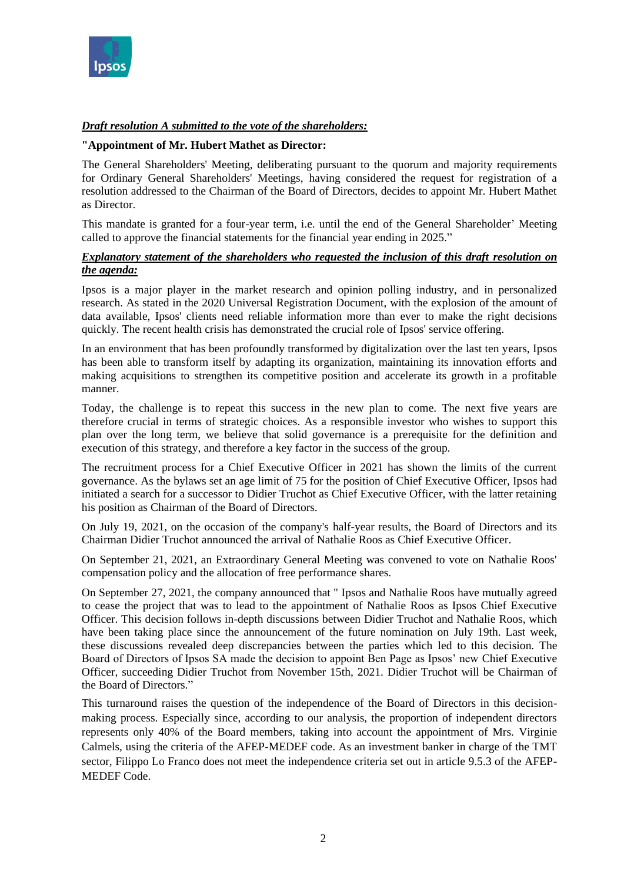

# *Draft resolution A submitted to the vote of the shareholders:*

#### **"Appointment of Mr. Hubert Mathet as Director:**

The General Shareholders' Meeting, deliberating pursuant to the quorum and majority requirements for Ordinary General Shareholders' Meetings, having considered the request for registration of a resolution addressed to the Chairman of the Board of Directors, decides to appoint Mr. Hubert Mathet as Director.

This mandate is granted for a four-year term, i.e. until the end of the General Shareholder' Meeting called to approve the financial statements for the financial year ending in 2025."

## *Explanatory statement of the shareholders who requested the inclusion of this draft resolution on the agenda:*

Ipsos is a major player in the market research and opinion polling industry, and in personalized research. As stated in the 2020 Universal Registration Document, with the explosion of the amount of data available, Ipsos' clients need reliable information more than ever to make the right decisions quickly. The recent health crisis has demonstrated the crucial role of Ipsos' service offering.

In an environment that has been profoundly transformed by digitalization over the last ten years, Ipsos has been able to transform itself by adapting its organization, maintaining its innovation efforts and making acquisitions to strengthen its competitive position and accelerate its growth in a profitable manner.

Today, the challenge is to repeat this success in the new plan to come. The next five years are therefore crucial in terms of strategic choices. As a responsible investor who wishes to support this plan over the long term, we believe that solid governance is a prerequisite for the definition and execution of this strategy, and therefore a key factor in the success of the group.

The recruitment process for a Chief Executive Officer in 2021 has shown the limits of the current governance. As the bylaws set an age limit of 75 for the position of Chief Executive Officer, Ipsos had initiated a search for a successor to Didier Truchot as Chief Executive Officer, with the latter retaining his position as Chairman of the Board of Directors.

On July 19, 2021, on the occasion of the company's half-year results, the Board of Directors and its Chairman Didier Truchot announced the arrival of Nathalie Roos as Chief Executive Officer.

On September 21, 2021, an Extraordinary General Meeting was convened to vote on Nathalie Roos' compensation policy and the allocation of free performance shares.

On September 27, 2021, the company announced that " Ipsos and Nathalie Roos have mutually agreed to cease the project that was to lead to the appointment of Nathalie Roos as Ipsos Chief Executive Officer. This decision follows in-depth discussions between Didier Truchot and Nathalie Roos, which have been taking place since the announcement of the future nomination on July 19th. Last week, these discussions revealed deep discrepancies between the parties which led to this decision. The Board of Directors of Ipsos SA made the decision to appoint Ben Page as Ipsos' new Chief Executive Officer, succeeding Didier Truchot from November 15th, 2021. Didier Truchot will be Chairman of the Board of Directors."

This turnaround raises the question of the independence of the Board of Directors in this decisionmaking process. Especially since, according to our analysis, the proportion of independent directors represents only 40% of the Board members, taking into account the appointment of Mrs. Virginie Calmels, using the criteria of the AFEP-MEDEF code. As an investment banker in charge of the TMT sector, Filippo Lo Franco does not meet the independence criteria set out in article 9.5.3 of the AFEP-MEDEF Code.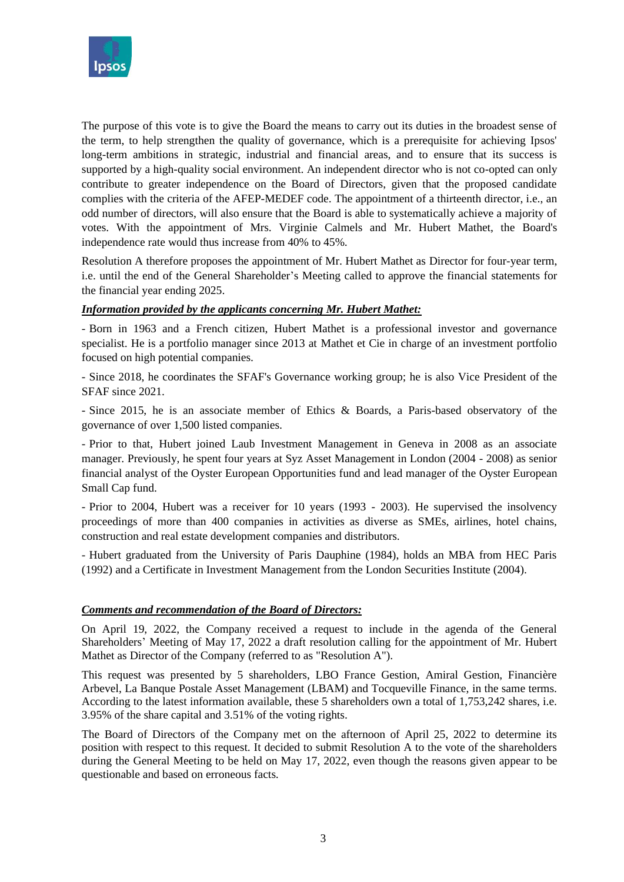

The purpose of this vote is to give the Board the means to carry out its duties in the broadest sense of the term, to help strengthen the quality of governance, which is a prerequisite for achieving Ipsos' long-term ambitions in strategic, industrial and financial areas, and to ensure that its success is supported by a high-quality social environment. An independent director who is not co-opted can only contribute to greater independence on the Board of Directors, given that the proposed candidate complies with the criteria of the AFEP-MEDEF code. The appointment of a thirteenth director, i.e., an odd number of directors, will also ensure that the Board is able to systematically achieve a majority of votes. With the appointment of Mrs. Virginie Calmels and Mr. Hubert Mathet, the Board's independence rate would thus increase from 40% to 45%.

Resolution A therefore proposes the appointment of Mr. Hubert Mathet as Director for four-year term, i.e. until the end of the General Shareholder's Meeting called to approve the financial statements for the financial year ending 2025.

## *Information provided by the applicants concerning Mr. Hubert Mathet:*

- Born in 1963 and a French citizen, Hubert Mathet is a professional investor and governance specialist. He is a portfolio manager since 2013 at Mathet et Cie in charge of an investment portfolio focused on high potential companies.

- Since 2018, he coordinates the SFAF's Governance working group; he is also Vice President of the SFAF since 2021.

- Since 2015, he is an associate member of Ethics & Boards, a Paris-based observatory of the governance of over 1,500 listed companies.

- Prior to that, Hubert joined Laub Investment Management in Geneva in 2008 as an associate manager. Previously, he spent four years at Syz Asset Management in London (2004 - 2008) as senior financial analyst of the Oyster European Opportunities fund and lead manager of the Oyster European Small Cap fund.

- Prior to 2004, Hubert was a receiver for 10 years (1993 - 2003). He supervised the insolvency proceedings of more than 400 companies in activities as diverse as SMEs, airlines, hotel chains, construction and real estate development companies and distributors.

- Hubert graduated from the University of Paris Dauphine (1984), holds an MBA from HEC Paris (1992) and a Certificate in Investment Management from the London Securities Institute (2004).

#### *Comments and recommendation of the Board of Directors:*

On April 19, 2022, the Company received a request to include in the agenda of the General Shareholders' Meeting of May 17, 2022 a draft resolution calling for the appointment of Mr. Hubert Mathet as Director of the Company (referred to as "Resolution A").

This request was presented by 5 shareholders, LBO France Gestion, Amiral Gestion, Financière Arbevel, La Banque Postale Asset Management (LBAM) and Tocqueville Finance, in the same terms. According to the latest information available, these 5 shareholders own a total of 1,753,242 shares, i.e. 3.95% of the share capital and 3.51% of the voting rights.

The Board of Directors of the Company met on the afternoon of April 25, 2022 to determine its position with respect to this request. It decided to submit Resolution A to the vote of the shareholders during the General Meeting to be held on May 17, 2022, even though the reasons given appear to be questionable and based on erroneous facts.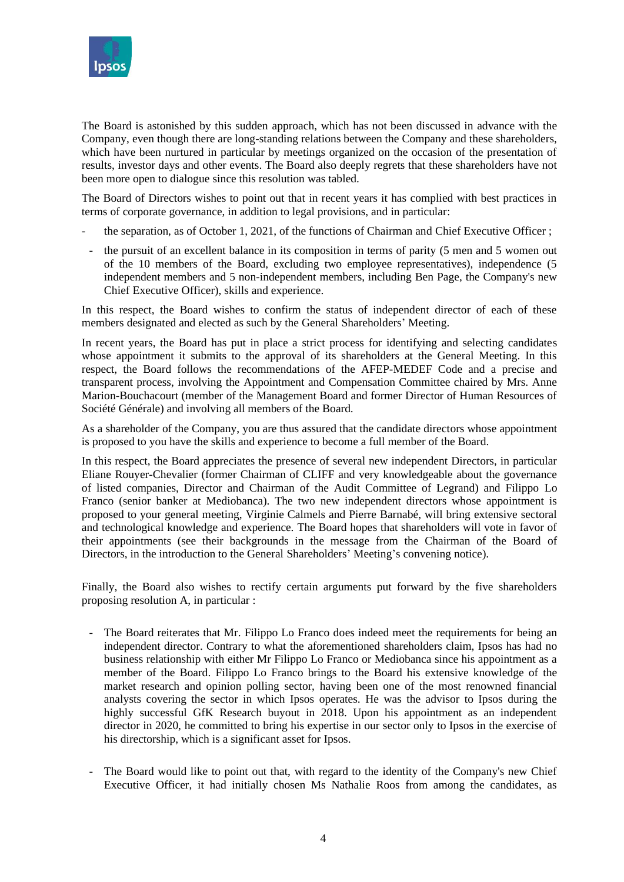

The Board is astonished by this sudden approach, which has not been discussed in advance with the Company, even though there are long-standing relations between the Company and these shareholders, which have been nurtured in particular by meetings organized on the occasion of the presentation of results, investor days and other events. The Board also deeply regrets that these shareholders have not been more open to dialogue since this resolution was tabled.

The Board of Directors wishes to point out that in recent years it has complied with best practices in terms of corporate governance, in addition to legal provisions, and in particular:

- the separation, as of October 1, 2021, of the functions of Chairman and Chief Executive Officer;
- the pursuit of an excellent balance in its composition in terms of parity (5 men and 5 women out of the 10 members of the Board, excluding two employee representatives), independence (5 independent members and 5 non-independent members, including Ben Page, the Company's new Chief Executive Officer), skills and experience.

In this respect, the Board wishes to confirm the status of independent director of each of these members designated and elected as such by the General Shareholders' Meeting.

In recent years, the Board has put in place a strict process for identifying and selecting candidates whose appointment it submits to the approval of its shareholders at the General Meeting. In this respect, the Board follows the recommendations of the AFEP-MEDEF Code and a precise and transparent process, involving the Appointment and Compensation Committee chaired by Mrs. Anne Marion-Bouchacourt (member of the Management Board and former Director of Human Resources of Société Générale) and involving all members of the Board.

As a shareholder of the Company, you are thus assured that the candidate directors whose appointment is proposed to you have the skills and experience to become a full member of the Board.

In this respect, the Board appreciates the presence of several new independent Directors, in particular Eliane Rouyer-Chevalier (former Chairman of CLIFF and very knowledgeable about the governance of listed companies, Director and Chairman of the Audit Committee of Legrand) and Filippo Lo Franco (senior banker at Mediobanca). The two new independent directors whose appointment is proposed to your general meeting, Virginie Calmels and Pierre Barnabé, will bring extensive sectoral and technological knowledge and experience. The Board hopes that shareholders will vote in favor of their appointments (see their backgrounds in the message from the Chairman of the Board of Directors, in the introduction to the General Shareholders' Meeting's convening notice).

Finally, the Board also wishes to rectify certain arguments put forward by the five shareholders proposing resolution A, in particular :

- The Board reiterates that Mr. Filippo Lo Franco does indeed meet the requirements for being an independent director. Contrary to what the aforementioned shareholders claim, Ipsos has had no business relationship with either Mr Filippo Lo Franco or Mediobanca since his appointment as a member of the Board. Filippo Lo Franco brings to the Board his extensive knowledge of the market research and opinion polling sector, having been one of the most renowned financial analysts covering the sector in which Ipsos operates. He was the advisor to Ipsos during the highly successful GfK Research buyout in 2018. Upon his appointment as an independent director in 2020, he committed to bring his expertise in our sector only to Ipsos in the exercise of his directorship, which is a significant asset for Ipsos.
- The Board would like to point out that, with regard to the identity of the Company's new Chief Executive Officer, it had initially chosen Ms Nathalie Roos from among the candidates, as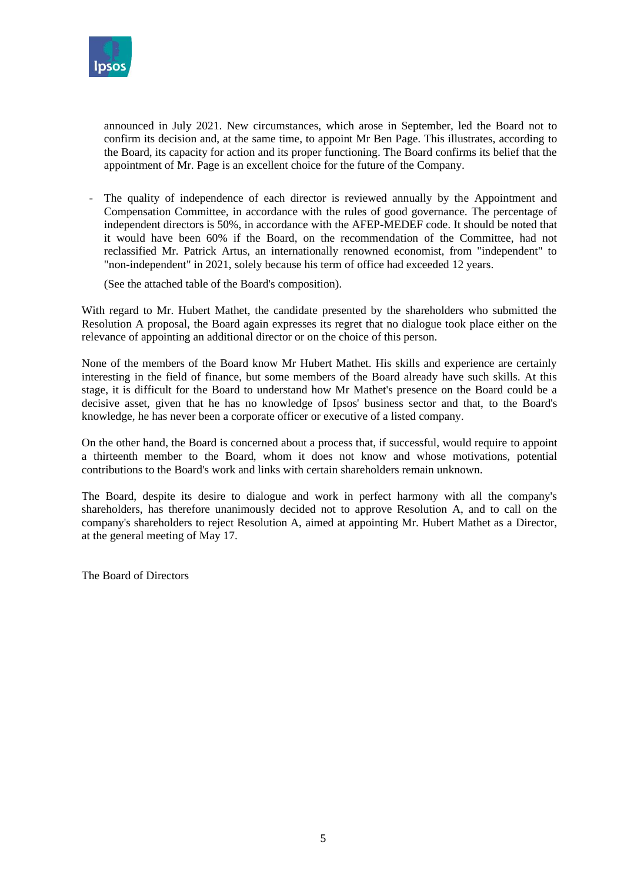

announced in July 2021. New circumstances, which arose in September, led the Board not to confirm its decision and, at the same time, to appoint Mr Ben Page. This illustrates, according to the Board, its capacity for action and its proper functioning. The Board confirms its belief that the appointment of Mr. Page is an excellent choice for the future of the Company.

The quality of independence of each director is reviewed annually by the Appointment and Compensation Committee, in accordance with the rules of good governance. The percentage of independent directors is 50%, in accordance with the AFEP-MEDEF code. It should be noted that it would have been 60% if the Board, on the recommendation of the Committee, had not reclassified Mr. Patrick Artus, an internationally renowned economist, from "independent" to "non-independent" in 2021, solely because his term of office had exceeded 12 years.

(See the attached table of the Board's composition).

With regard to Mr. Hubert Mathet, the candidate presented by the shareholders who submitted the Resolution A proposal, the Board again expresses its regret that no dialogue took place either on the relevance of appointing an additional director or on the choice of this person.

None of the members of the Board know Mr Hubert Mathet. His skills and experience are certainly interesting in the field of finance, but some members of the Board already have such skills. At this stage, it is difficult for the Board to understand how Mr Mathet's presence on the Board could be a decisive asset, given that he has no knowledge of Ipsos' business sector and that, to the Board's knowledge, he has never been a corporate officer or executive of a listed company.

On the other hand, the Board is concerned about a process that, if successful, would require to appoint a thirteenth member to the Board, whom it does not know and whose motivations, potential contributions to the Board's work and links with certain shareholders remain unknown.

The Board, despite its desire to dialogue and work in perfect harmony with all the company's shareholders, has therefore unanimously decided not to approve Resolution A, and to call on the company's shareholders to reject Resolution A, aimed at appointing Mr. Hubert Mathet as a Director, at the general meeting of May 17.

The Board of Directors